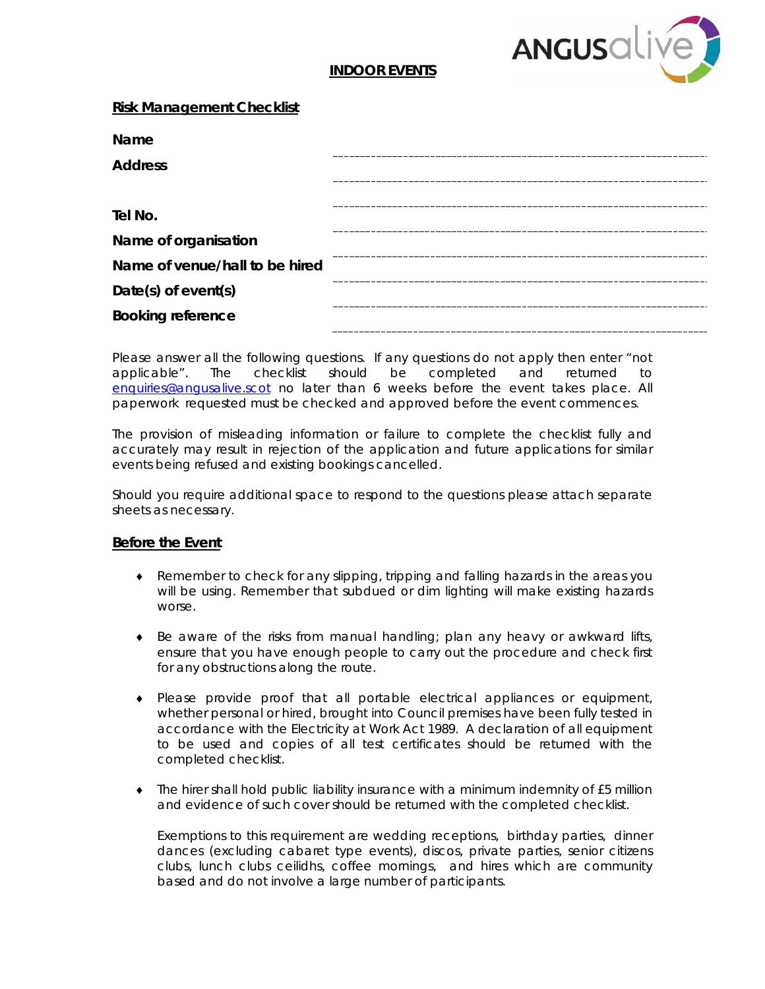

# **INDOOR EVENTS**

### **Risk Management Checklist**

| <b>Name</b>                    |  |
|--------------------------------|--|
| <b>Address</b>                 |  |
|                                |  |
| Tel No.                        |  |
| Name of organisation           |  |
| Name of yenue/hall to be hired |  |
| Date(s) of event(s)            |  |
| <b>Booking reference</b>       |  |

Please answer all the following questions. If any questions do not apply then enter "not applicable". The checklist should be completed and returned to [enquiries@angusalive.scot](mailto:enquiries@angusalive.scot) no later than 6 weeks before the event takes place. All paperwork requested must be checked and approved before the event commences.

The provision of misleading information or failure to complete the checklist fully and accurately may result in rejection of the application and future applications for similar events being refused and existing bookings cancelled.

Should you require additional space to respond to the questions please attach separate sheets as necessary.

#### **Before the Event**

- ♦ Remember to check for any slipping, tripping and falling hazards in the areas you will be using. Remember that subdued or dim lighting will make existing hazards worse.
- ♦ Be aware of the risks from manual handling; plan any heavy or awkward lifts, ensure that you have enough people to carry out the procedure and check first for any obstructions along the route.
- ♦ Please provide proof that all portable electrical appliances or equipment, whether personal or hired, brought into Council premises have been fully tested in accordance with the Electricity at Work Act 1989. A declaration of all equipment to be used and copies of all test certificates should be returned with the completed checklist.
- ♦ The hirer shall hold public liability insurance with a minimum indemnity of £5 million and evidence of such cover should be returned with the completed checklist.

Exemptions to this requirement are wedding receptions, birthday parties, dinner dances (excluding cabaret type events), discos, private parties, senior citizens clubs, lunch clubs ceilidhs, coffee mornings, and hires which are community based and do not involve a large number of participants.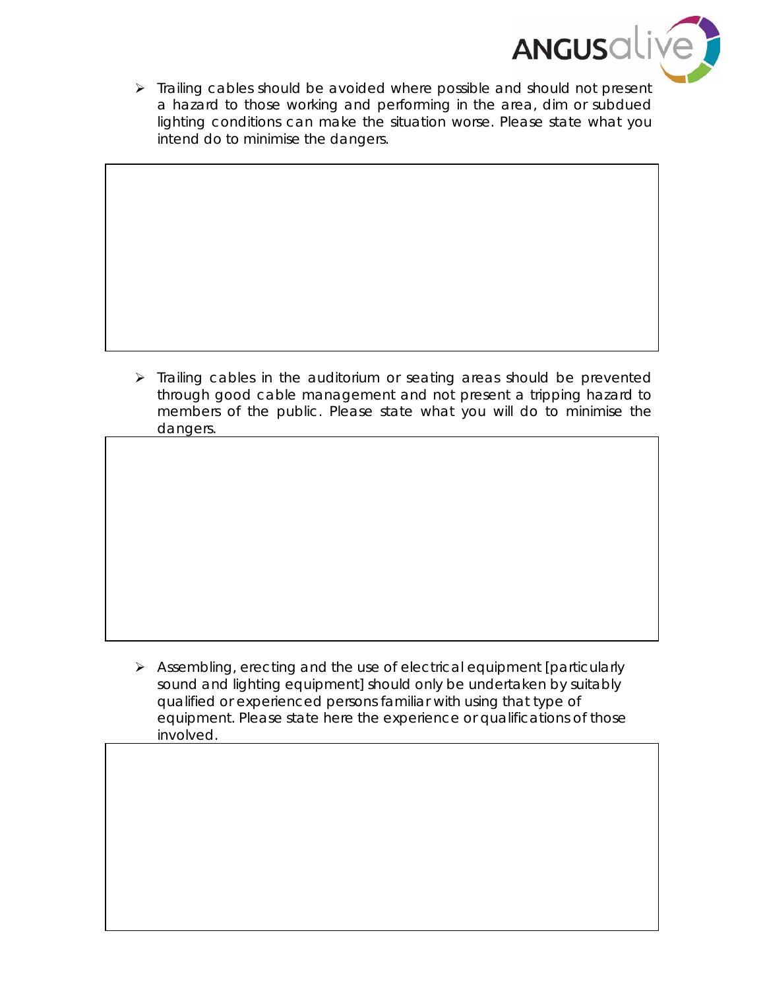

 $\triangleright$  Trailing cables should be avoided where possible and should not present a hazard to those working and performing in the area, dim or subdued lighting conditions can make the situation worse. Please state what you intend do to minimise the dangers.

 $\triangleright$  Trailing cables in the auditorium or seating areas should be prevented through good cable management and not present a tripping hazard to members of the public. Please state what you will do to minimise the dangers.

 $\triangleright$  Assembling, erecting and the use of electrical equipment [particularly sound and lighting equipment] should only be undertaken by suitably qualified or experienced persons familiar with using that type of equipment. Please state here the experience or qualifications of those involved.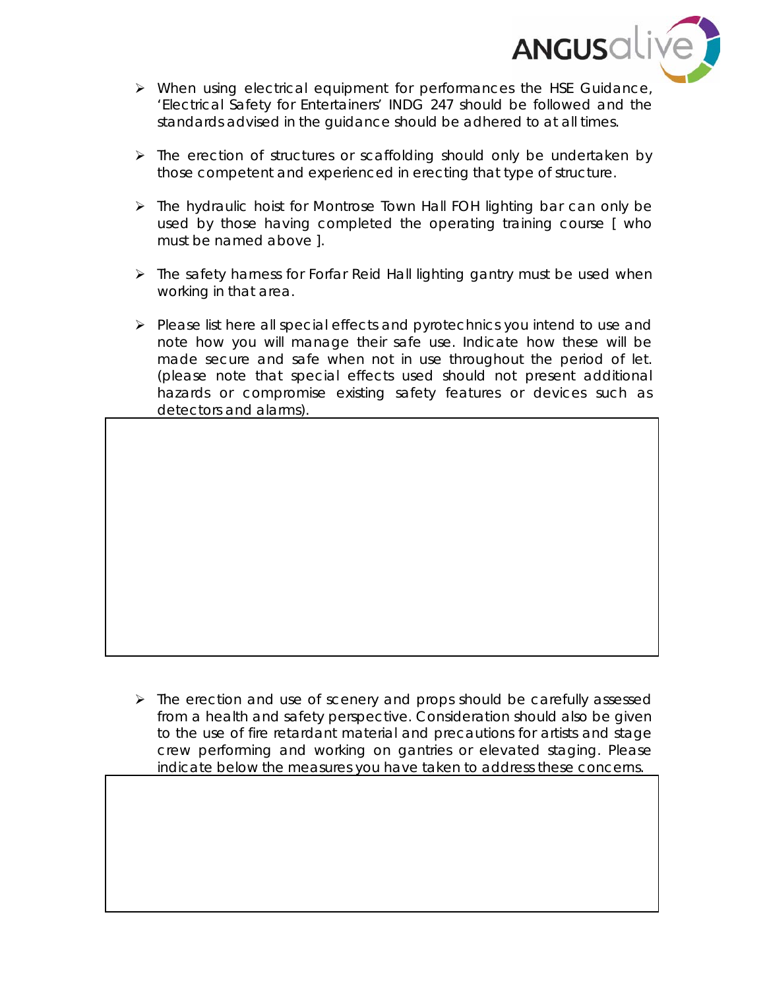

- When using electrical equipment for performances the HSE Guidance, 'Electrical Safety for Entertainers' INDG 247 should be followed and the standards advised in the guidance should be adhered to at all times.
- $\triangleright$  The erection of structures or scaffolding should only be undertaken by those competent and experienced in erecting that type of structure.
- > The hydraulic hoist for Montrose Town Hall FOH lighting bar can only be used by those having completed the operating training course [ who must be named above ].
- $\triangleright$  The safety harness for Forfar Reid Hall lighting gantry must be used when working in that area.
- $\triangleright$  Please list here all special effects and pyrotechnics you intend to use and note how you will manage their safe use. Indicate how these will be made secure and safe when not in use throughout the period of let. (please note that special effects used should not present additional hazards or compromise existing safety features or devices such as detectors and alarms).

 $\triangleright$  The erection and use of scenery and props should be carefully assessed from a health and safety perspective. Consideration should also be given to the use of fire retardant material and precautions for artists and stage crew performing and working on gantries or elevated staging. Please indicate below the measures you have taken to address these concerns.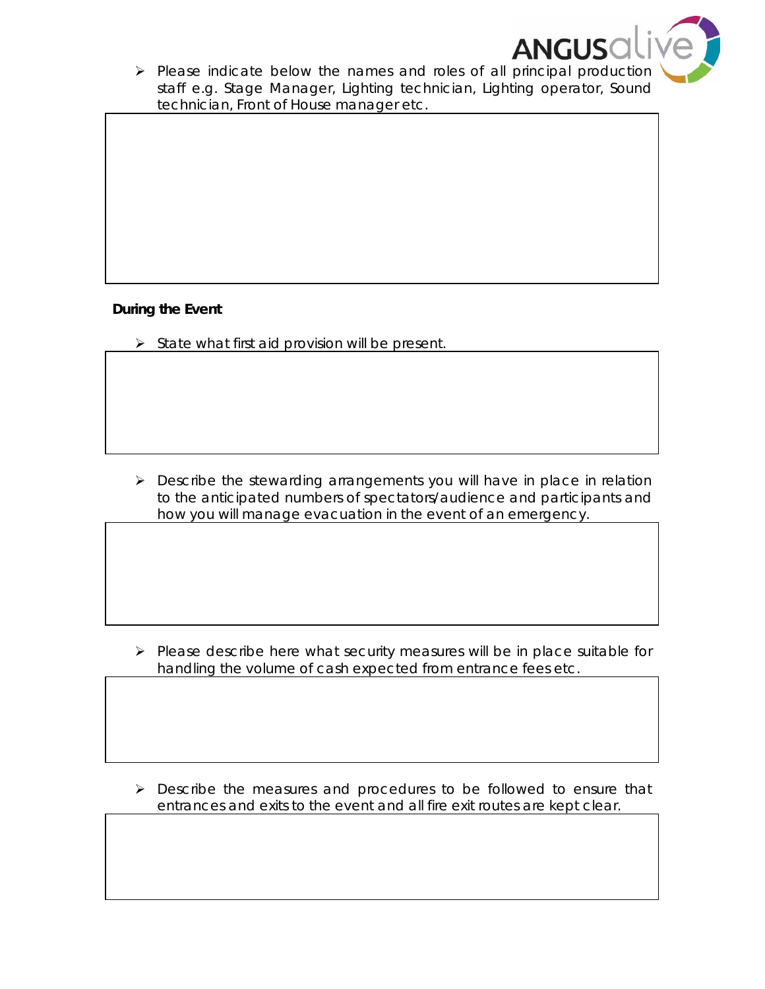

 $\triangleright$  Please indicate below the names and roles of all principal production staff e.g. Stage Manager, Lighting technician, Lighting operator, Sound technician, Front of House manager etc.

# **During the Event**

 $\triangleright$  State what first aid provision will be present.

**Describe the stewarding arrangements you will have in place in relation** to the anticipated numbers of spectators/audience and participants and how you will manage evacuation in the event of an emergency.

 $\triangleright$  Please describe here what security measures will be in place suitable for handling the volume of cash expected from entrance fees etc.

 Describe the measures and procedures to be followed to ensure that entrances and exits to the event and all fire exit routes are kept clear.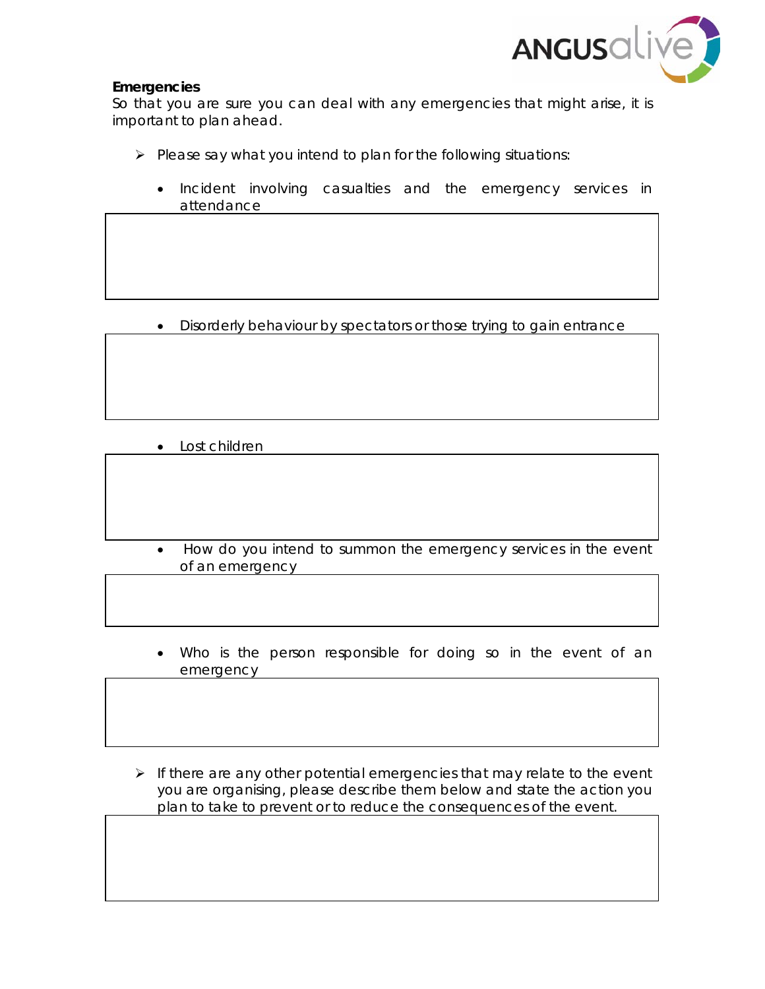

# **Emergencies**

So that you are sure you can deal with any emergencies that might arise, it is important to plan ahead.

- $\triangleright$  Please say what you intend to plan for the following situations:
	- Incident involving casualties and the emergency services in attendance

• Disorderly behaviour by spectators or those trying to gain entrance

- Lost children
- How do you intend to summon the emergency services in the event of an emergency
- Who is the person responsible for doing so in the event of an emergency
- $\triangleright$  If there are any other potential emergencies that may relate to the event you are organising, please describe them below and state the action you plan to take to prevent or to reduce the consequences of the event.